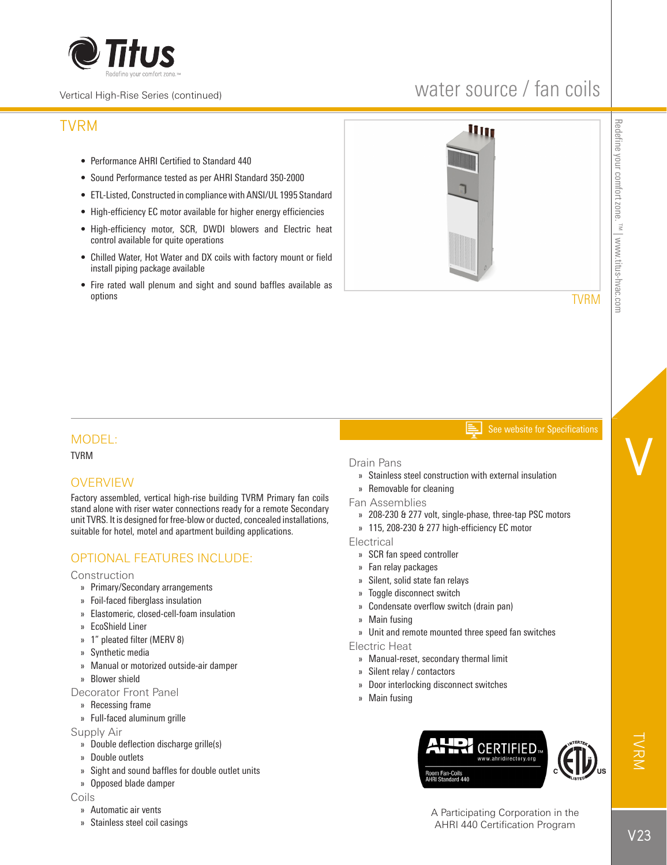

#### Vertical High-Rise Series (continued)

# water source / fan coils

# TVRM

- Performance AHRI Certified to Standard 440
- Sound Performance tested as per AHRI Standard 350-2000
- ETL-Listed, Constructed in compliance with ANSI/UL 1995 Standard
- High-efficiency EC motor available for higher energy efficiencies
- High-efficiency motor, SCR, DWDI blowers and Electric heat control available for quite operations
- Chilled Water, Hot Water and DX coils with factory mount or field install piping package available
- Fire rated wall plenum and sight and sound baffles available as options



TVRM

V

#### See website for Specifications

## MODEL:

TVRM

## **OVERVIEW**

Factory assembled, vertical high-rise building TVRM Primary fan coils stand alone with riser water connections ready for a remote Secondary unit TVRS. It is designed for free-blow or ducted, concealed installations, suitable for hotel, motel and apartment building applications.

## OPTIONAL FEATURES INCLUDE:

**Construction** 

- » Primary/Secondary arrangements
- » Foil-faced fiberglass insulation
- » Elastomeric, closed-cell-foam insulation
- » EcoShield Liner
- » 1" pleated filter (MERV 8)
- » Synthetic media
- » Manual or motorized outside-air damper
- » Blower shield

### Decorator Front Panel

- » Recessing frame
- » Full-faced aluminum grille

Supply Air

- » Double deflection discharge grille(s)
- » Double outlets
- » Sight and sound baffles for double outlet units
- » Opposed blade damper

#### Coils

- » Automatic air vents
- » Stainless steel coil casings

### Drain Pans

- » Stainless steel construction with external insulation
- » Removable for cleaning
- Fan Assemblies
	- » 208-230 & 277 volt, single-phase, three-tap PSC motors
	- » 115, 208-230 & 277 high-efficiency EC motor

**Electrical** 

- » SCR fan speed controller
- » Fan relay packages
- » Silent, solid state fan relays
- » Toggle disconnect switch
- » Condensate overflow switch (drain pan)
- » Main fusing
- » Unit and remote mounted three speed fan switches

Electric Heat

- » Manual-reset, secondary thermal limit
- » Silent relay / contactors
- » Door interlocking disconnect switches
- » Main fusing



A Participating Corporation in the AHRI 440 Certification Program

TVRM<br>M